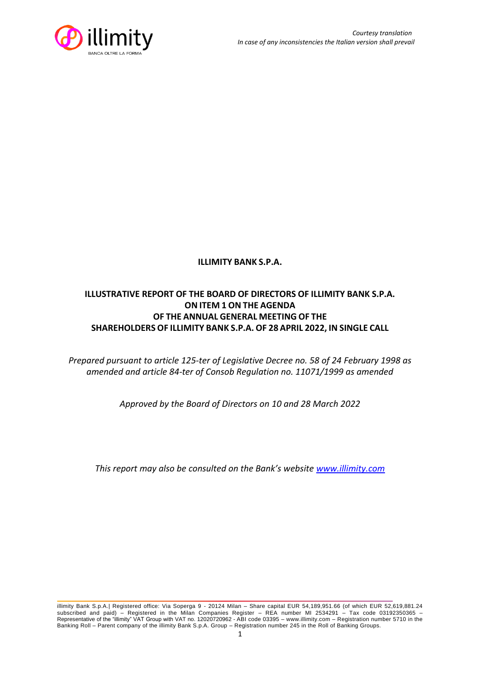

## **ILLIMITY BANK S.P.A.**

# **ILLUSTRATIVE REPORT OF THE BOARD OF DIRECTORS OF ILLIMITY BANK S.P.A. ON ITEM 1 ON THE AGENDA OF THE ANNUAL GENERAL MEETING OF THE SHAREHOLDERS OF ILLIMITY BANK S.P.A. OF 28 APRIL 2022, IN SINGLE CALL**

*Prepared pursuant to article 125-ter of Legislative Decree no. 58 of 24 February 1998 as amended and article 84-ter of Consob Regulation no. 11071/1999 as amended*

*Approved by the Board of Directors on 10 and 28 March 2022*

*This report may also be consulted on the Bank's website [www.illimity.com](http://www.illimity.com/)*

illimity Bank S.p.A.| Registered office: Via Soperga 9 - 20124 Milan – Share capital EUR 54,189,951.66 (of which EUR 52,619,881.24 subscribed and paid) – Registered in the Milan Companies Register – REA number MI 2534291 – Tax code 03192350365 – Representative of the "illimity" VAT Group with VAT no. 12020720962 - ABI code 03395 – [www.illimity.com](http://www.illimity.com/) – Registration number 5710 in the Banking Roll – Parent company of the illimity Bank S.p.A. Group – Registration number 245 in the Roll of Banking Groups.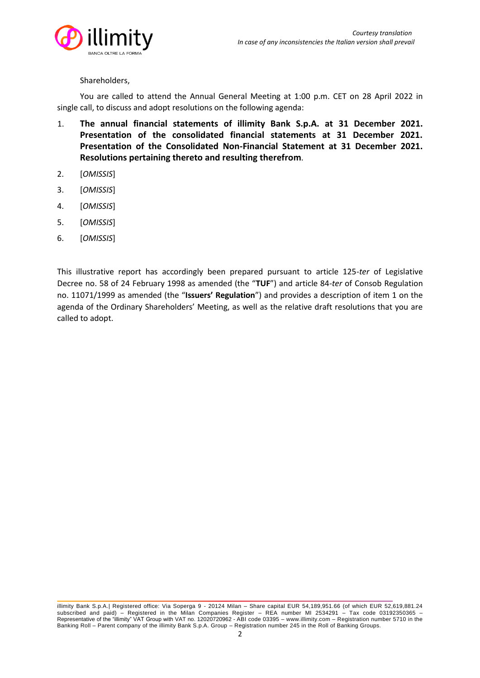

#### Shareholders,

You are called to attend the Annual General Meeting at 1:00 p.m. CET on 28 April 2022 in single call, to discuss and adopt resolutions on the following agenda:

- 1. **The annual financial statements of illimity Bank S.p.A. at 31 December 2021. Presentation of the consolidated financial statements at 31 December 2021. Presentation of the Consolidated Non-Financial Statement at 31 December 2021. Resolutions pertaining thereto and resulting therefrom**.
- 2. [*OMISSIS*]
- 3. [*OMISSIS*]
- 4. [*OMISSIS*]
- 5. [*OMISSIS*]
- 6. [*OMISSIS*]

This illustrative report has accordingly been prepared pursuant to article 125-*ter* of Legislative Decree no. 58 of 24 February 1998 as amended (the "**TUF**") and article 84-*ter* of Consob Regulation no. 11071/1999 as amended (the "**Issuers' Regulation**") and provides a description of item 1 on the agenda of the Ordinary Shareholders' Meeting, as well as the relative draft resolutions that you are called to adopt.

illimity Bank S.p.A.| Registered office: Via Soperga 9 - 20124 Milan – Share capital EUR 54,189,951.66 (of which EUR 52,619,881.24 subscribed and paid) – Registered in the Milan Companies Register – REA number MI 2534291 – Tax code 03192350365 – Representative of the "illimity" VAT Group with VAT no. 12020720962 - ABI code 03395 – [www.illimity.com](http://www.illimity.com/) – Registration number 5710 in the Banking Roll – Parent company of the illimity Bank S.p.A. Group – Registration number 245 in the Roll of Banking Groups.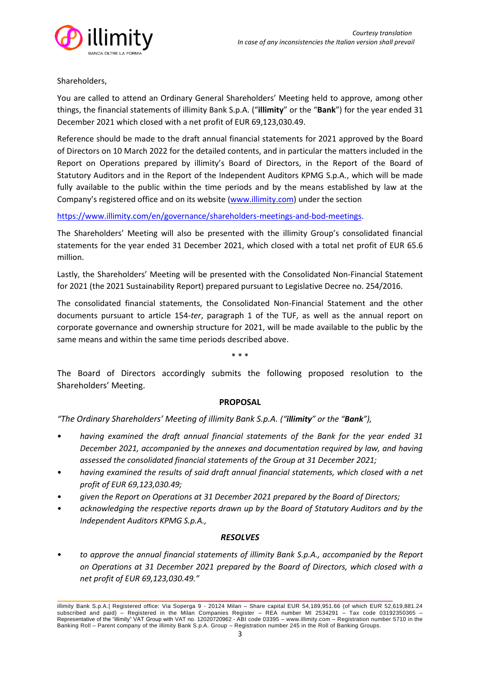

### Shareholders,

You are called to attend an Ordinary General Shareholders' Meeting held to approve, among other things, the financial statements of illimity Bank S.p.A. ("**illimity**" or the "**Bank**") for the year ended 31 December 2021 which closed with a net profit of EUR 69,123,030.49.

Reference should be made to the draft annual financial statements for 2021 approved by the Board of Directors on 10 March 2022 for the detailed contents, and in particular the matters included in the Report on Operations prepared by illimity's Board of Directors, in the Report of the Board of Statutory Auditors and in the Report of the Independent Auditors KPMG S.p.A., which will be made fully available to the public within the time periods and by the means established by law at the Company's registered office and on its website [\(www.illimity.com\)](http://www.illimity.com/) under the section

[https://www.illimity.com/en/governance/shareholders-](https://www.illimity.com/en/governance/shareholders)meetings-and-bod-meetings.

The Shareholders' Meeting will also be presented with the illimity Group's consolidated financial statements for the year ended 31 December 2021, which closed with a total net profit of EUR 65.6 million.

Lastly, the Shareholders' Meeting will be presented with the Consolidated Non-Financial Statement for 2021 (the 2021 Sustainability Report) prepared pursuant to Legislative Decree no. 254/2016.

The consolidated financial statements, the Consolidated Non-Financial Statement and the other documents pursuant to article 154-*ter*, paragraph 1 of the TUF, as well as the annual report on corporate governance and ownership structure for 2021, will be made available to the public by the same means and within the same time periods described above.

\* \* \*

The Board of Directors accordingly submits the following proposed resolution to the Shareholders' Meeting.

#### **PROPOSAL**

*"The Ordinary Shareholders' Meeting of illimity Bank S.p.A. ("illimity" or the "Bank"),*

- *having examined the draft annual financial statements of the Bank for the year ended 31 December 2021, accompanied by the annexes and documentation required by law, and having assessed the consolidated financial statements of the Group at 31 December 2021;*
- *having examined the results of said draft annual financial statements, which closed with a net profit of EUR 69,123,030.49;*
- *given the Report on Operations at 31 December 2021 prepared by the Board of Directors;*
- *acknowledging the respective reports drawn up by the Board of Statutory Auditors and by the Independent Auditors KPMG S.p.A.,*

### *RESOLVES*

• *to approve the annual financial statements of illimity Bank S.p.A., accompanied by the Report on Operations at 31 December 2021 prepared by the Board of Directors, which closed with a net profit of EUR 69,123,030.49."*

illimity Bank S.p.A.| Registered office: Via Soperga 9 - 20124 Milan – Share capital EUR 54,189,951.66 (of which EUR 52,619,881.24 subscribed and paid) – Registered in the Milan Companies Register – REA number MI 2534291 – Tax code 03192350365 Representative of the "illimity" VAT Group with VAT no. 12020720962 - ABI code 03395 – [www.illimity.com](http://www.illimity.com/) – Registration number 5710 in the Banking Roll – Parent company of the illimity Bank S.p.A. Group – Registration number 245 in the Roll of Banking Groups.